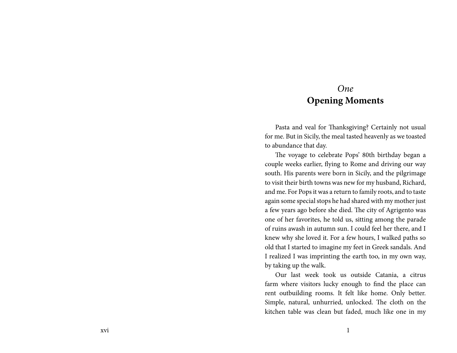# *One* **Opening Moments**

Pasta and veal for Thanksgiving? Certainly not usual for me. But in Sicily, the meal tasted heavenly as we toasted to abundance that day.

The voyage to celebrate Pops' 80th birthday began a couple weeks earlier, flying to Rome and driving our way south. His parents were born in Sicily, and the pilgrimage to visit their birth towns was new for my husband, Richard, and me. For Pops it was a return to family roots, and to taste again some special stops he had shared with my mother just a few years ago before she died. The city of Agrigento was one of her favorites, he told us, sitting among the parade of ruins awash in autumn sun. I could feel her there, and I knew why she loved it. For a few hours, I walked paths so old that I started to imagine my feet in Greek sandals. And I realized I was imprinting the earth too, in my own way, by taking up the walk.

Our last week took us outside Catania, a citrus farm where visitors lucky enough to find the place can rent outbuilding rooms. It felt like home. Only better. Simple, natural, unhurried, unlocked. The cloth on the kitchen table was clean but faded, much like one in my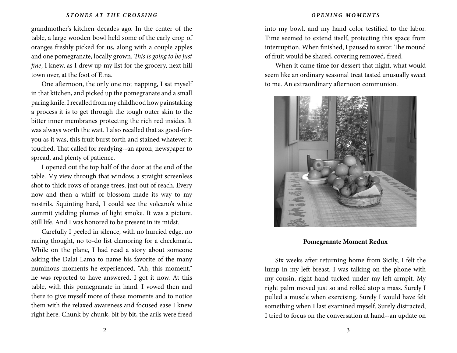### *STONES AT THE CROSSING OPENING MOMENTS*

grandmother's kitchen decades ago. In the center of the table, a large wooden bowl held some of the early crop of oranges freshly picked for us, along with a couple apples and one pomegranate, locally grown. *This is going to be just fine*, I knew, as I drew up my list for the grocery, next hill town over, at the foot of Etna.

One afternoon, the only one not napping, I sat myself in that kitchen, and picked up the pomegranate and a small paring knife. I recalled from my childhood how painstaking a process it is to get through the tough outer skin to the bitter inner membranes protecting the rich red insides. It was always worth the wait. I also recalled that as good-foryou as it was, this fruit burst forth and stained whatever it touched. That called for readying--an apron, newspaper to spread, and plenty of patience.

I opened out the top half of the door at the end of the table. My view through that window, a straight screenless shot to thick rows of orange trees, just out of reach. Every now and then a whiff of blossom made its way to my nostrils. Squinting hard, I could see the volcano's white summit yielding plumes of light smoke. It was a picture. Still life. And I was honored to be present in its midst.

Carefully I peeled in silence, with no hurried edge, no racing thought, no to-do list clamoring for a checkmark. While on the plane, I had read a story about someone asking the Dalai Lama to name his favorite of the many numinous moments he experienced. "Ah, this moment," he was reported to have answered. I got it now. At this table, with this pomegranate in hand. I vowed then and there to give myself more of these moments and to notice them with the relaxed awareness and focused ease I knew right here. Chunk by chunk, bit by bit, the arils were freed

into my bowl, and my hand color testified to the labor. Time seemed to extend itself, protecting this space from interruption. When finished, I paused to savor. The mound of fruit would be shared, covering removed, freed.

When it came time for dessert that night, what would seem like an ordinary seasonal treat tasted unusually sweet to me. An extraordinary afternoon communion.



## **Pomegranate Moment Redux**

Six weeks after returning home from Sicily, I felt the lump in my left breast. I was talking on the phone with my cousin, right hand tucked under my left armpit. My right palm moved just so and rolled atop a mass. Surely I pulled a muscle when exercising. Surely I would have felt something when I last examined myself. Surely distracted, I tried to focus on the conversation at hand--an update on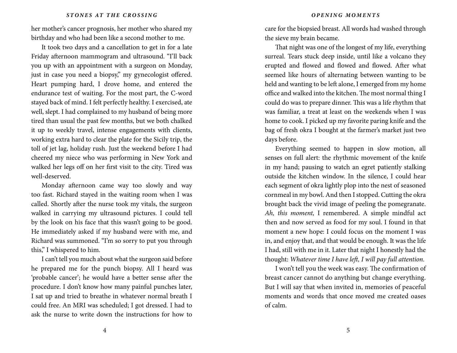#### *OPENING MOMENTS*

#### *STONES AT THE CROSSING*

her mother's cancer prognosis, her mother who shared my birthday and who had been like a second mother to me.

It took two days and a cancellation to get in for a late Friday afternoon mammogram and ultrasound. "I'll back you up with an appointment with a surgeon on Monday, just in case you need a biopsy," my gynecologist offered. Heart pumping hard, I drove home, and entered the endurance test of waiting. For the most part, the C-word stayed back of mind. I felt perfectly healthy. I exercised, ate well, slept. I had complained to my husband of being more tired than usual the past few months, but we both chalked it up to weekly travel, intense engagements with clients, working extra hard to clear the plate for the Sicily trip, the toll of jet lag, holiday rush. Just the weekend before I had cheered my niece who was performing in New York and walked her legs off on her first visit to the city. Tired was well-deserved.

Monday afternoon came way too slowly and way too fast. Richard stayed in the waiting room when I was called. Shortly after the nurse took my vitals, the surgeon walked in carrying my ultrasound pictures. I could tell by the look on his face that this wasn't going to be good. He immediately asked if my husband were with me, and Richard was summoned. "I'm so sorry to put you through this," I whispered to him.

I can't tell you much about what the surgeon said before he prepared me for the punch biopsy. All I heard was 'probable cancer'; he would have a better sense after the procedure. I don't know how many painful punches later, I sat up and tried to breathe in whatever normal breath I could free. An MRI was scheduled; I got dressed. I had to ask the nurse to write down the instructions for how to

care for the biopsied breast. All words had washed through the sieve my brain became.

That night was one of the longest of my life, everything surreal. Tears stuck deep inside, until like a volcano they erupted and flowed and flowed and flowed. After what seemed like hours of alternating between wanting to be held and wanting to be left alone, I emerged from my home office and walked into the kitchen. The most normal thing I could do was to prepare dinner. This was a life rhythm that was familiar, a treat at least on the weekends when I was home to cook. I picked up my favorite paring knife and the bag of fresh okra I bought at the farmer's market just two days before.

Everything seemed to happen in slow motion, all senses on full alert: the rhythmic movement of the knife in my hand; pausing to watch an egret patiently stalking outside the kitchen window. In the silence, I could hear each segment of okra lightly plop into the nest of seasoned cornmeal in my bowl. And then I stopped. Cutting the okra brought back the vivid image of peeling the pomegranate. *Ah, this moment,* I remembered. A simple mindful act then and now served as food for my soul. I found in that moment a new hope: I could focus on the moment I was in, and enjoy that, and that would be enough. It was the life I had, still with me in it. Later that night I honestly had the thought: *Whatever time I have left, I will pay full attention*.

I won't tell you the week was easy. The confirmation of breast cancer cannot do anything but change everything. But I will say that when invited in, memories of peaceful moments and words that once moved me created oases of calm.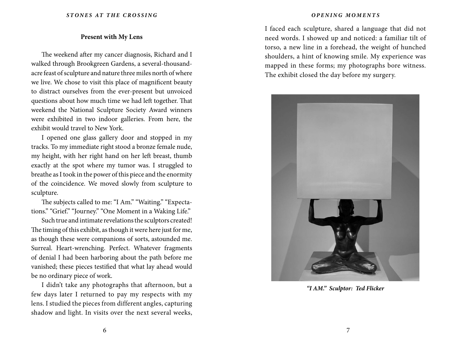## **Present with My Lens**

The weekend after my cancer diagnosis, Richard and I walked through Brookgreen Gardens, a several-thousandacre feast of sculpture and nature three miles north of where we live. We chose to visit this place of magnificent beauty to distract ourselves from the ever-present but unvoiced questions about how much time we had left together. That weekend the National Sculpture Society Award winners were exhibited in two indoor galleries. From here, the exhibit would travel to New York.

I opened one glass gallery door and stopped in my tracks. To my immediate right stood a bronze female nude, my height, with her right hand on her left breast, thumb exactly at the spot where my tumor was. I struggled to breathe as I took in the power of this piece and the enormity of the coincidence. We moved slowly from sculpture to sculpture.

The subjects called to me: "I Am." "Waiting." "Expectations." "Grief." "Journey." "One Moment in a Waking Life."

Such true and intimate revelations the sculptors created! The timing of this exhibit, as though it were here just for me, as though these were companions of sorts, astounded me. Surreal. Heart-wrenching. Perfect. Whatever fragments of denial I had been harboring about the path before me vanished; these pieces testified that what lay ahead would be no ordinary piece of work.

I didn't take any photographs that afternoon, but a few days later I returned to pay my respects with my lens. I studied the pieces from different angles, capturing shadow and light. In visits over the next several weeks,

### *OPENING MOMENTS*

I faced each sculpture, shared a language that did not need words. I showed up and noticed: a familiar tilt of torso, a new line in a forehead, the weight of hunched shoulders, a hint of knowing smile. My experience was mapped in these forms; my photographs bore witness. The exhibit closed the day before my surgery.



*"I AM." Sculptor: Ted Flicker*